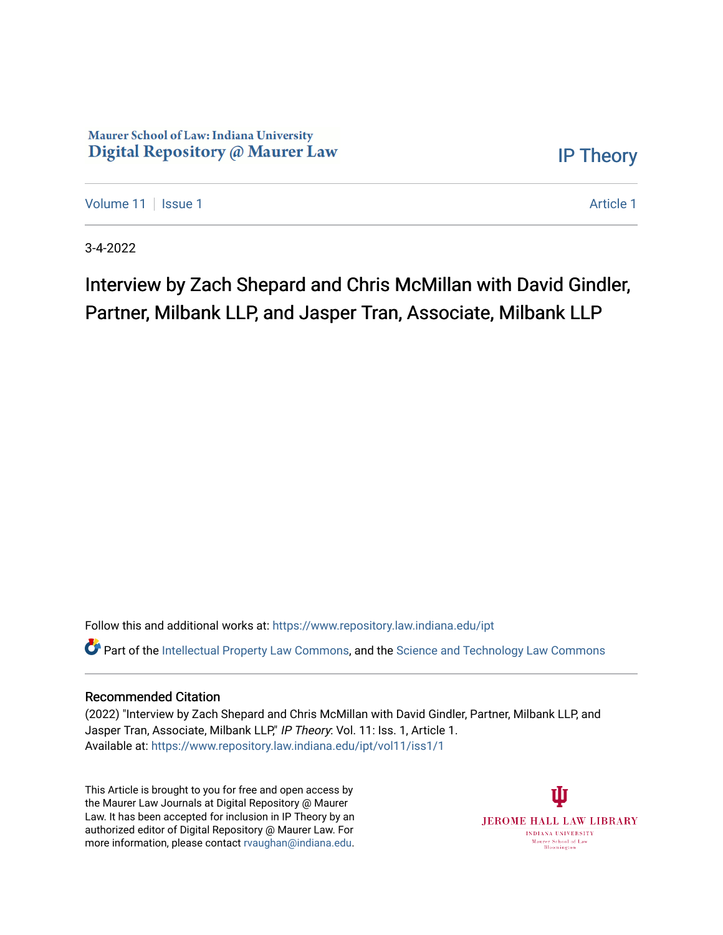### Maurer School of Law: Indiana University Digital Repository @ Maurer Law

[IP Theory](https://www.repository.law.indiana.edu/ipt) 

[Volume 11](https://www.repository.law.indiana.edu/ipt/vol11) | [Issue 1](https://www.repository.law.indiana.edu/ipt/vol11/iss1) [Article 1](https://www.repository.law.indiana.edu/ipt/vol11/iss1/1) Article 1 Article 1 Article 1 Article 1 Article 1 Article 1 Article 1 Article 1

3-4-2022

# Interview by Zach Shepard and Chris McMillan with David Gindler, Partner, Milbank LLP, and Jasper Tran, Associate, Milbank LLP

Follow this and additional works at: [https://www.repository.law.indiana.edu/ipt](https://www.repository.law.indiana.edu/ipt?utm_source=www.repository.law.indiana.edu%2Fipt%2Fvol11%2Fiss1%2F1&utm_medium=PDF&utm_campaign=PDFCoverPages) 

**C** Part of the [Intellectual Property Law Commons,](http://network.bepress.com/hgg/discipline/896?utm_source=www.repository.law.indiana.edu%2Fipt%2Fvol11%2Fiss1%2F1&utm_medium=PDF&utm_campaign=PDFCoverPages) and the Science and Technology Law Commons

#### Recommended Citation

(2022) "Interview by Zach Shepard and Chris McMillan with David Gindler, Partner, Milbank LLP, and Jasper Tran, Associate, Milbank LLP," IP Theory: Vol. 11: Iss. 1, Article 1. Available at: [https://www.repository.law.indiana.edu/ipt/vol11/iss1/1](https://www.repository.law.indiana.edu/ipt/vol11/iss1/1?utm_source=www.repository.law.indiana.edu%2Fipt%2Fvol11%2Fiss1%2F1&utm_medium=PDF&utm_campaign=PDFCoverPages) 

This Article is brought to you for free and open access by the Maurer Law Journals at Digital Repository @ Maurer Law. It has been accepted for inclusion in IP Theory by an authorized editor of Digital Repository @ Maurer Law. For more information, please contact [rvaughan@indiana.edu](mailto:rvaughan@indiana.edu).

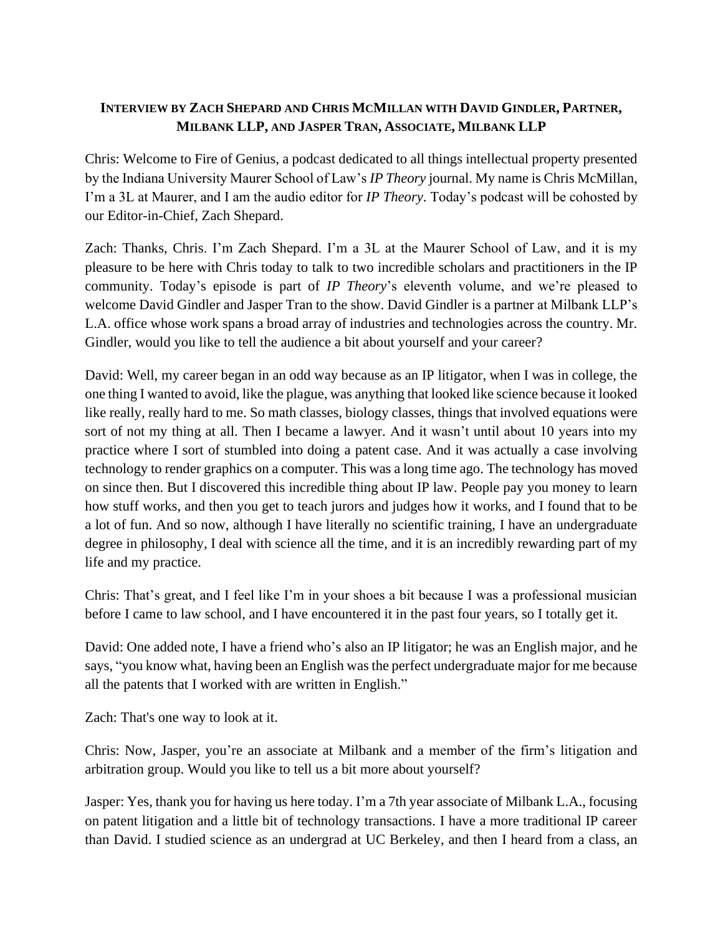## **INTERVIEW BY ZACH SHEPARD AND CHRIS MCMILLAN WITH DAVID GINDLER, PARTNER, MILBANK LLP, AND JASPER TRAN, ASSOCIATE, MILBANK LLP**

Chris: Welcome to Fire of Genius, a podcast dedicated to all things intellectual property presented by the Indiana University Maurer School of Law's *IP Theory* journal. My name is Chris McMillan, I'm a 3L at Maurer, and I am the audio editor for *IP Theory*. Today's podcast will be cohosted by our Editor-in-Chief, Zach Shepard.

Zach: Thanks, Chris. I'm Zach Shepard. I'm a 3L at the Maurer School of Law, and it is my pleasure to be here with Chris today to talk to two incredible scholars and practitioners in the IP community. Today's episode is part of *IP Theory*'s eleventh volume, and we're pleased to welcome David Gindler and Jasper Tran to the show. David Gindler is a partner at Milbank LLP's L.A. office whose work spans a broad array of industries and technologies across the country. Mr. Gindler, would you like to tell the audience a bit about yourself and your career?

David: Well, my career began in an odd way because as an IP litigator, when I was in college, the one thing I wanted to avoid, like the plague, was anything that looked like science because it looked like really, really hard to me. So math classes, biology classes, things that involved equations were sort of not my thing at all. Then I became a lawyer. And it wasn't until about 10 years into my practice where I sort of stumbled into doing a patent case. And it was actually a case involving technology to render graphics on a computer. This was a long time ago. The technology has moved on since then. But I discovered this incredible thing about IP law. People pay you money to learn how stuff works, and then you get to teach jurors and judges how it works, and I found that to be a lot of fun. And so now, although I have literally no scientific training, I have an undergraduate degree in philosophy, I deal with science all the time, and it is an incredibly rewarding part of my life and my practice.

Chris: That's great, and I feel like I'm in your shoes a bit because I was a professional musician before I came to law school, and I have encountered it in the past four years, so I totally get it.

David: One added note, I have a friend who's also an IP litigator; he was an English major, and he says, "you know what, having been an English was the perfect undergraduate major for me because all the patents that I worked with are written in English."

Zach: That's one way to look at it.

Chris: Now, Jasper, you're an associate at Milbank and a member of the firm's litigation and arbitration group. Would you like to tell us a bit more about yourself?

Jasper: Yes, thank you for having us here today. I'm a 7th year associate of Milbank L.A., focusing on patent litigation and a little bit of technology transactions. I have a more traditional IP career than David. I studied science as an undergrad at UC Berkeley, and then I heard from a class, an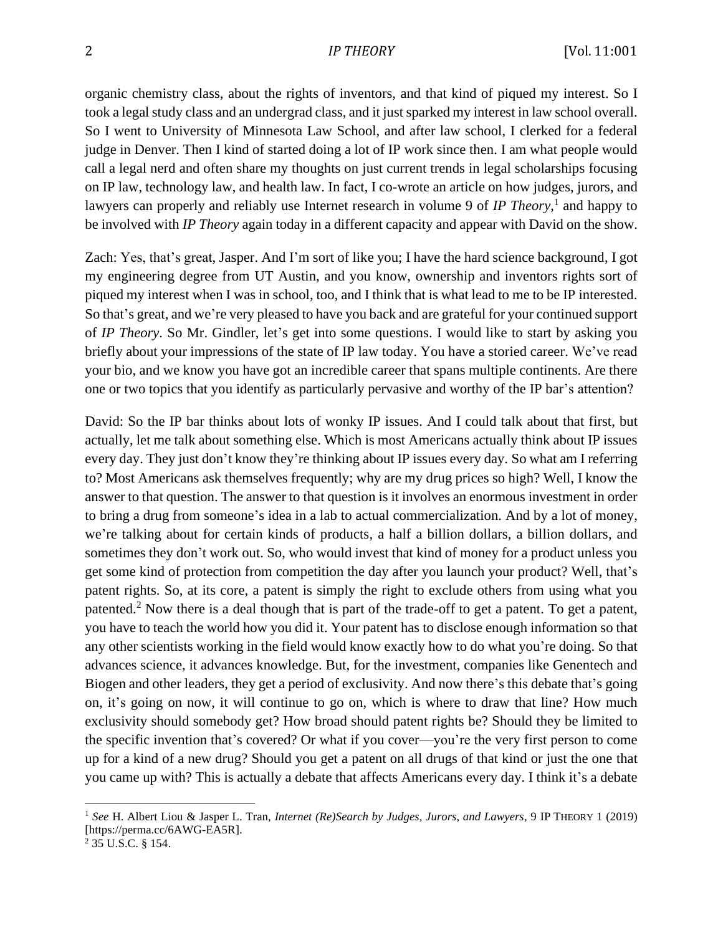organic chemistry class, about the rights of inventors, and that kind of piqued my interest. So I took a legal study class and an undergrad class, and it just sparked my interest in law school overall. So I went to University of Minnesota Law School, and after law school, I clerked for a federal judge in Denver. Then I kind of started doing a lot of IP work since then. I am what people would call a legal nerd and often share my thoughts on just current trends in legal scholarships focusing on IP law, technology law, and health law. In fact, I co-wrote an article on how judges, jurors, and lawyers can properly and reliably use Internet research in volume 9 of *IP Theory*,<sup>1</sup> and happy to be involved with *IP Theory* again today in a different capacity and appear with David on the show.

Zach: Yes, that's great, Jasper. And I'm sort of like you; I have the hard science background, I got my engineering degree from UT Austin, and you know, ownership and inventors rights sort of piqued my interest when I was in school, too, and I think that is what lead to me to be IP interested. So that's great, and we're very pleased to have you back and are grateful for your continued support of *IP Theory*. So Mr. Gindler, let's get into some questions. I would like to start by asking you briefly about your impressions of the state of IP law today. You have a storied career. We've read your bio, and we know you have got an incredible career that spans multiple continents. Are there one or two topics that you identify as particularly pervasive and worthy of the IP bar's attention?

David: So the IP bar thinks about lots of wonky IP issues. And I could talk about that first, but actually, let me talk about something else. Which is most Americans actually think about IP issues every day. They just don't know they're thinking about IP issues every day. So what am I referring to? Most Americans ask themselves frequently; why are my drug prices so high? Well, I know the answer to that question. The answer to that question is it involves an enormous investment in order to bring a drug from someone's idea in a lab to actual commercialization. And by a lot of money, we're talking about for certain kinds of products, a half a billion dollars, a billion dollars, and sometimes they don't work out. So, who would invest that kind of money for a product unless you get some kind of protection from competition the day after you launch your product? Well, that's patent rights. So, at its core, a patent is simply the right to exclude others from using what you patented.<sup>2</sup> Now there is a deal though that is part of the trade-off to get a patent. To get a patent, you have to teach the world how you did it. Your patent has to disclose enough information so that any other scientists working in the field would know exactly how to do what you're doing. So that advances science, it advances knowledge. But, for the investment, companies like Genentech and Biogen and other leaders, they get a period of exclusivity. And now there's this debate that's going on, it's going on now, it will continue to go on, which is where to draw that line? How much exclusivity should somebody get? How broad should patent rights be? Should they be limited to the specific invention that's covered? Or what if you cover—you're the very first person to come up for a kind of a new drug? Should you get a patent on all drugs of that kind or just the one that you came up with? This is actually a debate that affects Americans every day. I think it's a debate

<sup>1</sup> *See* H. Albert Liou & Jasper L. Tran, *Internet (Re)Search by Judges, Jurors, and Lawyers*, 9 IP THEORY 1 (2019) [https://perma.cc/6AWG-EA5R].

<sup>2</sup> 35 U.S.C. § 154.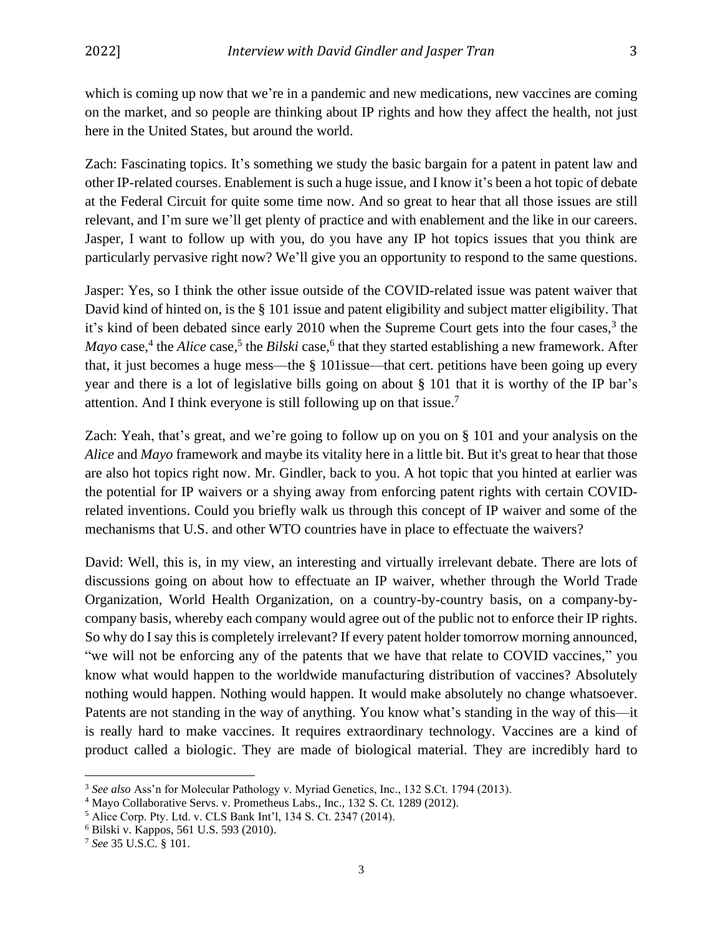which is coming up now that we're in a pandemic and new medications, new vaccines are coming on the market, and so people are thinking about IP rights and how they affect the health, not just here in the United States, but around the world.

Zach: Fascinating topics. It's something we study the basic bargain for a patent in patent law and other IP-related courses. Enablement is such a huge issue, and I know it's been a hot topic of debate at the Federal Circuit for quite some time now. And so great to hear that all those issues are still relevant, and I'm sure we'll get plenty of practice and with enablement and the like in our careers. Jasper, I want to follow up with you, do you have any IP hot topics issues that you think are particularly pervasive right now? We'll give you an opportunity to respond to the same questions.

Jasper: Yes, so I think the other issue outside of the COVID-related issue was patent waiver that David kind of hinted on, is the § 101 issue and patent eligibility and subject matter eligibility. That it's kind of been debated since early 2010 when the Supreme Court gets into the four cases,<sup>3</sup> the *Mayo* case,<sup>4</sup> the *Alice* case,<sup>5</sup> the *Bilski* case,<sup>6</sup> that they started establishing a new framework. After that, it just becomes a huge mess—the § 101issue—that cert. petitions have been going up every year and there is a lot of legislative bills going on about § 101 that it is worthy of the IP bar's attention. And I think everyone is still following up on that issue.<sup>7</sup>

Zach: Yeah, that's great, and we're going to follow up on you on § 101 and your analysis on the *Alice* and *Mayo* framework and maybe its vitality here in a little bit. But it's great to hear that those are also hot topics right now. Mr. Gindler, back to you. A hot topic that you hinted at earlier was the potential for IP waivers or a shying away from enforcing patent rights with certain COVIDrelated inventions. Could you briefly walk us through this concept of IP waiver and some of the mechanisms that U.S. and other WTO countries have in place to effectuate the waivers?

David: Well, this is, in my view, an interesting and virtually irrelevant debate. There are lots of discussions going on about how to effectuate an IP waiver, whether through the World Trade Organization, World Health Organization, on a country-by-country basis, on a company-bycompany basis, whereby each company would agree out of the public not to enforce their IP rights. So why do I say this is completely irrelevant? If every patent holder tomorrow morning announced, "we will not be enforcing any of the patents that we have that relate to COVID vaccines," you know what would happen to the worldwide manufacturing distribution of vaccines? Absolutely nothing would happen. Nothing would happen. It would make absolutely no change whatsoever. Patents are not standing in the way of anything. You know what's standing in the way of this—it is really hard to make vaccines. It requires extraordinary technology. Vaccines are a kind of product called a biologic. They are made of biological material. They are incredibly hard to

<sup>3</sup> *See also* Ass'n for Molecular Pathology v. Myriad Genetics, Inc., 132 S.Ct. 1794 (2013).

<sup>4</sup> Mayo Collaborative Servs. v. Prometheus Labs., Inc., 132 S. Ct. 1289 (2012).

<sup>5</sup> Alice Corp. Pty. Ltd. v. CLS Bank Int'l, 134 S. Ct. 2347 (2014).

<sup>6</sup> Bilski v. Kappos, 561 U.S. 593 (2010).

<sup>7</sup> *See* 35 U.S.C. § 101.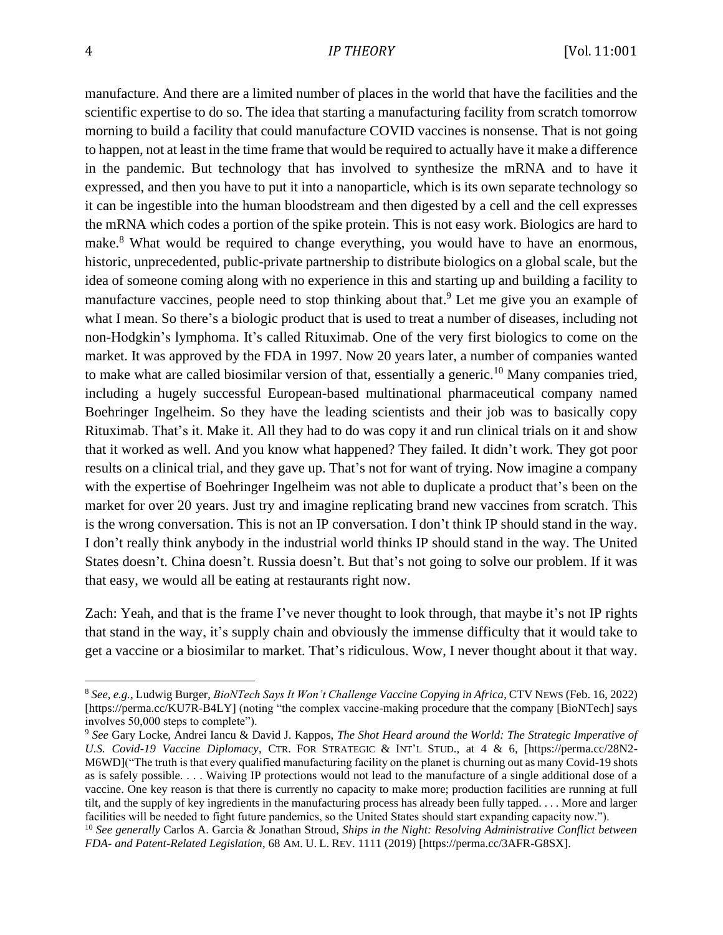manufacture. And there are a limited number of places in the world that have the facilities and the scientific expertise to do so. The idea that starting a manufacturing facility from scratch tomorrow morning to build a facility that could manufacture COVID vaccines is nonsense. That is not going to happen, not at least in the time frame that would be required to actually have it make a difference in the pandemic. But technology that has involved to synthesize the mRNA and to have it expressed, and then you have to put it into a nanoparticle, which is its own separate technology so it can be ingestible into the human bloodstream and then digested by a cell and the cell expresses the mRNA which codes a portion of the spike protein. This is not easy work. Biologics are hard to make.<sup>8</sup> What would be required to change everything, you would have to have an enormous, historic, unprecedented, public-private partnership to distribute biologics on a global scale, but the idea of someone coming along with no experience in this and starting up and building a facility to manufacture vaccines, people need to stop thinking about that.<sup>9</sup> Let me give you an example of what I mean. So there's a biologic product that is used to treat a number of diseases, including not non-Hodgkin's lymphoma. It's called Rituximab. One of the very first biologics to come on the market. It was approved by the FDA in 1997. Now 20 years later, a number of companies wanted to make what are called biosimilar version of that, essentially a generic.<sup>10</sup> Many companies tried, including a hugely successful European-based multinational pharmaceutical company named Boehringer Ingelheim. So they have the leading scientists and their job was to basically copy Rituximab. That's it. Make it. All they had to do was copy it and run clinical trials on it and show that it worked as well. And you know what happened? They failed. It didn't work. They got poor results on a clinical trial, and they gave up. That's not for want of trying. Now imagine a company with the expertise of Boehringer Ingelheim was not able to duplicate a product that's been on the market for over 20 years. Just try and imagine replicating brand new vaccines from scratch. This is the wrong conversation. This is not an IP conversation. I don't think IP should stand in the way. I don't really think anybody in the industrial world thinks IP should stand in the way. The United States doesn't. China doesn't. Russia doesn't. But that's not going to solve our problem. If it was that easy, we would all be eating at restaurants right now.

Zach: Yeah, and that is the frame I've never thought to look through, that maybe it's not IP rights that stand in the way, it's supply chain and obviously the immense difficulty that it would take to get a vaccine or a biosimilar to market. That's ridiculous. Wow, I never thought about it that way.

<sup>8</sup> *See, e.g.*, Ludwig Burger, *BioNTech Says It Won't Challenge Vaccine Copying in Africa*, CTV NEWS (Feb. 16, 2022) [https://perma.cc/KU7R-B4LY] (noting "the complex vaccine-making procedure that the company [BioNTech] says involves 50,000 steps to complete").

<sup>9</sup> *See* Gary Locke, Andrei Iancu & David J. Kappos, *The Shot Heard around the World: The Strategic Imperative of U.S. Covid-19 Vaccine Diplomacy*, CTR. FOR STRATEGIC & INT'L STUD., at 4 & 6, [https://perma.cc/28N2- M6WD]("The truth is that every qualified manufacturing facility on the planet is churning out as many Covid-19 shots as is safely possible. . . . Waiving IP protections would not lead to the manufacture of a single additional dose of a vaccine. One key reason is that there is currently no capacity to make more; production facilities are running at full tilt, and the supply of key ingredients in the manufacturing process has already been fully tapped. . . . More and larger facilities will be needed to fight future pandemics, so the United States should start expanding capacity now.").

<sup>10</sup> *See generally* Carlos A. Garcia & Jonathan Stroud, *Ships in the Night: Resolving Administrative Conflict between FDA- and Patent-Related Legislation*, 68 AM. U. L. REV. 1111 (2019) [https://perma.cc/3AFR-G8SX].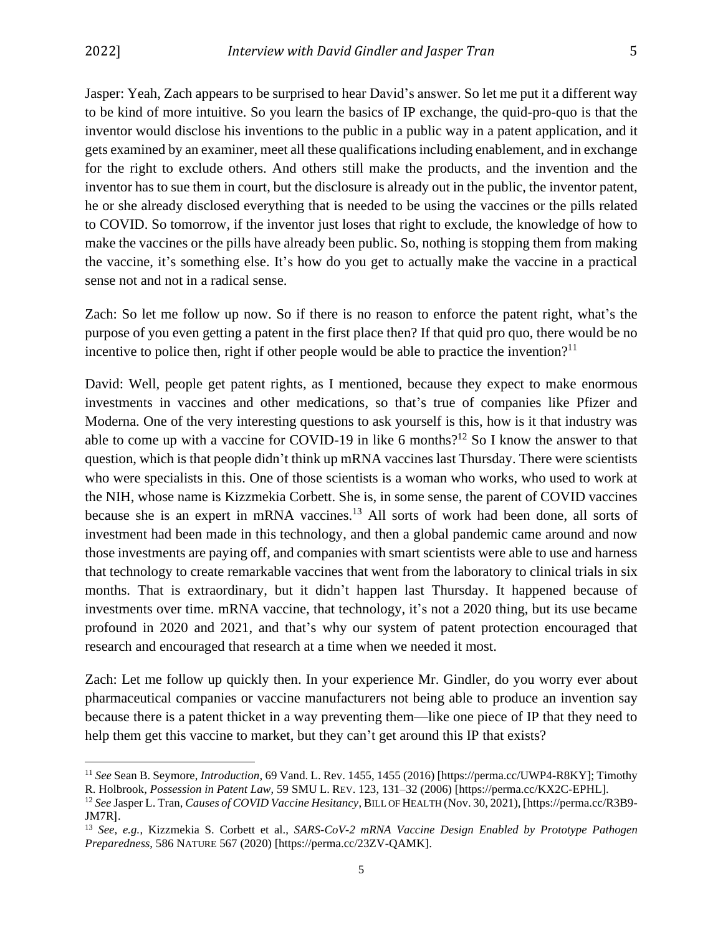Jasper: Yeah, Zach appears to be surprised to hear David's answer. So let me put it a different way to be kind of more intuitive. So you learn the basics of IP exchange, the quid-pro-quo is that the inventor would disclose his inventions to the public in a public way in a patent application, and it gets examined by an examiner, meet all these qualifications including enablement, and in exchange for the right to exclude others. And others still make the products, and the invention and the inventor has to sue them in court, but the disclosure is already out in the public, the inventor patent, he or she already disclosed everything that is needed to be using the vaccines or the pills related to COVID. So tomorrow, if the inventor just loses that right to exclude, the knowledge of how to make the vaccines or the pills have already been public. So, nothing is stopping them from making the vaccine, it's something else. It's how do you get to actually make the vaccine in a practical sense not and not in a radical sense.

Zach: So let me follow up now. So if there is no reason to enforce the patent right, what's the purpose of you even getting a patent in the first place then? If that quid pro quo, there would be no incentive to police then, right if other people would be able to practice the invention?<sup>11</sup>

David: Well, people get patent rights, as I mentioned, because they expect to make enormous investments in vaccines and other medications, so that's true of companies like Pfizer and Moderna. One of the very interesting questions to ask yourself is this, how is it that industry was able to come up with a vaccine for COVID-19 in like 6 months?<sup>12</sup> So I know the answer to that question, which is that people didn't think up mRNA vaccines last Thursday. There were scientists who were specialists in this. One of those scientists is a woman who works, who used to work at the NIH, whose name is Kizzmekia Corbett. She is, in some sense, the parent of COVID vaccines because she is an expert in mRNA vaccines.<sup>13</sup> All sorts of work had been done, all sorts of investment had been made in this technology, and then a global pandemic came around and now those investments are paying off, and companies with smart scientists were able to use and harness that technology to create remarkable vaccines that went from the laboratory to clinical trials in six months. That is extraordinary, but it didn't happen last Thursday. It happened because of investments over time. mRNA vaccine, that technology, it's not a 2020 thing, but its use became profound in 2020 and 2021, and that's why our system of patent protection encouraged that research and encouraged that research at a time when we needed it most.

Zach: Let me follow up quickly then. In your experience Mr. Gindler, do you worry ever about pharmaceutical companies or vaccine manufacturers not being able to produce an invention say because there is a patent thicket in a way preventing them—like one piece of IP that they need to help them get this vaccine to market, but they can't get around this IP that exists?

<sup>11</sup> *See* Sean B. Seymore, *Introduction*, 69 Vand. L. Rev. 1455, 1455 (2016) [https://perma.cc/UWP4-R8KY]; Timothy R. Holbrook, *Possession in Patent Law*, 59 SMU L. REV. 123, 131–32 (2006) [https://perma.cc/KX2C-EPHL].

<sup>12</sup> *See* Jasper L. Tran, *Causes of COVID Vaccine Hesitancy*, BILL OF HEALTH (Nov. 30, 2021), [https://perma.cc/R3B9- JM7R].

<sup>13</sup> *See, e.g.*, Kizzmekia S. Corbett et al., *SARS-CoV-2 mRNA Vaccine Design Enabled by Prototype Pathogen Preparedness*, 586 NATURE 567 (2020) [https://perma.cc/23ZV-QAMK].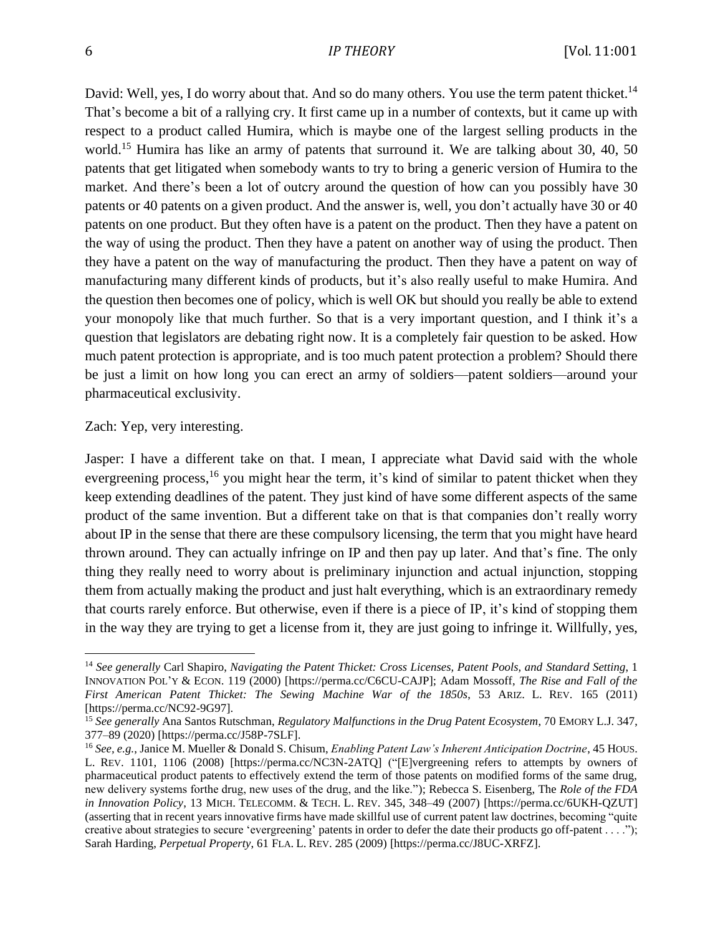David: Well, yes, I do worry about that. And so do many others. You use the term patent thicket.<sup>14</sup> That's become a bit of a rallying cry. It first came up in a number of contexts, but it came up with respect to a product called Humira, which is maybe one of the largest selling products in the world.<sup>15</sup> Humira has like an army of patents that surround it. We are talking about 30, 40, 50 patents that get litigated when somebody wants to try to bring a generic version of Humira to the market. And there's been a lot of outcry around the question of how can you possibly have 30 patents or 40 patents on a given product. And the answer is, well, you don't actually have 30 or 40 patents on one product. But they often have is a patent on the product. Then they have a patent on the way of using the product. Then they have a patent on another way of using the product. Then they have a patent on the way of manufacturing the product. Then they have a patent on way of manufacturing many different kinds of products, but it's also really useful to make Humira. And the question then becomes one of policy, which is well OK but should you really be able to extend your monopoly like that much further. So that is a very important question, and I think it's a question that legislators are debating right now. It is a completely fair question to be asked. How much patent protection is appropriate, and is too much patent protection a problem? Should there be just a limit on how long you can erect an army of soldiers—patent soldiers—around your pharmaceutical exclusivity.

#### Zach: Yep, very interesting.

Jasper: I have a different take on that. I mean, I appreciate what David said with the whole evergreening process,<sup>16</sup> you might hear the term, it's kind of similar to patent thicket when they keep extending deadlines of the patent. They just kind of have some different aspects of the same product of the same invention. But a different take on that is that companies don't really worry about IP in the sense that there are these compulsory licensing, the term that you might have heard thrown around. They can actually infringe on IP and then pay up later. And that's fine. The only thing they really need to worry about is preliminary injunction and actual injunction, stopping them from actually making the product and just halt everything, which is an extraordinary remedy that courts rarely enforce. But otherwise, even if there is a piece of IP, it's kind of stopping them in the way they are trying to get a license from it, they are just going to infringe it. Willfully, yes,

<sup>14</sup> *See generally* Carl Shapiro, *Navigating the Patent Thicket: Cross Licenses, Patent Pools, and Standard Setting*, 1 INNOVATION POL'Y & ECON. 119 (2000) [https://perma.cc/C6CU-CAJP]; Adam Mossoff, *The Rise and Fall of the First American Patent Thicket: The Sewing Machine War of the 1850s*, 53 ARIZ. L. REV. 165 (2011) [https://perma.cc/NC92-9G97].

<sup>15</sup> *See generally* Ana Santos Rutschman, *Regulatory Malfunctions in the Drug Patent Ecosystem*, 70 EMORY L.J. 347, 377–89 (2020) [https://perma.cc/J58P-7SLF].

<sup>16</sup> *See, e.g.*, Janice M. Mueller & Donald S. Chisum, *Enabling Patent Law's Inherent Anticipation Doctrine*, 45 HOUS. L. REV. 1101, 1106 (2008) [https://perma.cc/NC3N-2ATQ] ("[E]vergreening refers to attempts by owners of pharmaceutical product patents to effectively extend the term of those patents on modified forms of the same drug, new delivery systems forthe drug, new uses of the drug, and the like."); Rebecca S. Eisenberg, The *Role of the FDA in Innovation Policy*, 13 MICH. TELECOMM. & TECH. L. REV. 345, 348–49 (2007) [https://perma.cc/6UKH-QZUT] (asserting that in recent years innovative firms have made skillful use of current patent law doctrines, becoming "quite creative about strategies to secure 'evergreening' patents in order to defer the date their products go off-patent . . . ."); Sarah Harding, *Perpetual Property*, 61 FLA. L. REV. 285 (2009) [https://perma.cc/J8UC-XRFZ].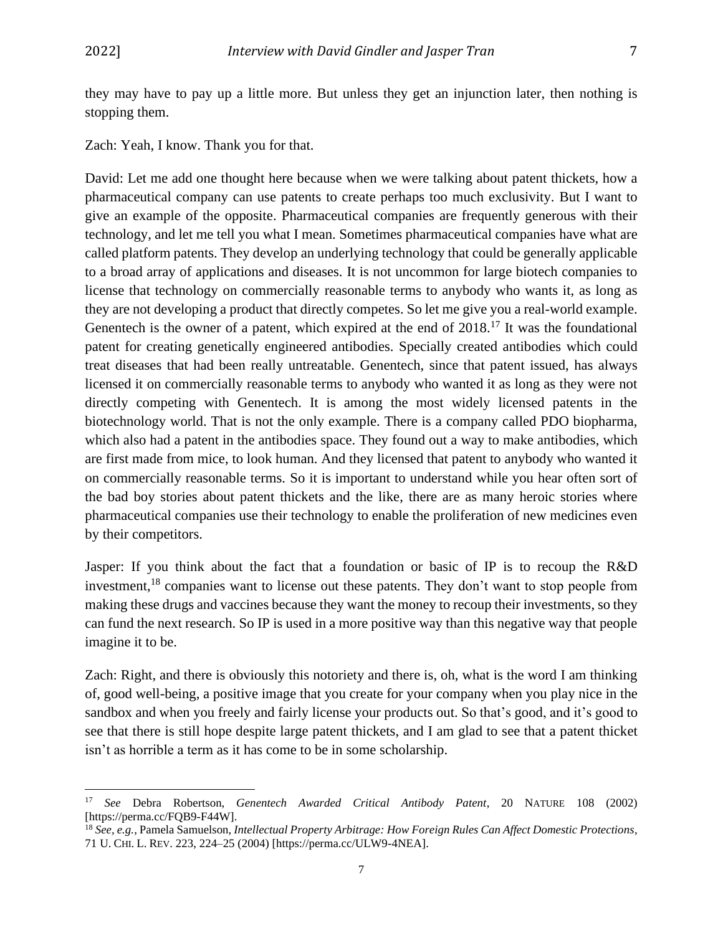they may have to pay up a little more. But unless they get an injunction later, then nothing is stopping them.

Zach: Yeah, I know. Thank you for that.

David: Let me add one thought here because when we were talking about patent thickets, how a pharmaceutical company can use patents to create perhaps too much exclusivity. But I want to give an example of the opposite. Pharmaceutical companies are frequently generous with their technology, and let me tell you what I mean. Sometimes pharmaceutical companies have what are called platform patents. They develop an underlying technology that could be generally applicable to a broad array of applications and diseases. It is not uncommon for large biotech companies to license that technology on commercially reasonable terms to anybody who wants it, as long as they are not developing a product that directly competes. So let me give you a real-world example. Genentech is the owner of a patent, which expired at the end of 2018.<sup>17</sup> It was the foundational patent for creating genetically engineered antibodies. Specially created antibodies which could treat diseases that had been really untreatable. Genentech, since that patent issued, has always licensed it on commercially reasonable terms to anybody who wanted it as long as they were not directly competing with Genentech. It is among the most widely licensed patents in the biotechnology world. That is not the only example. There is a company called PDO biopharma, which also had a patent in the antibodies space. They found out a way to make antibodies, which are first made from mice, to look human. And they licensed that patent to anybody who wanted it on commercially reasonable terms. So it is important to understand while you hear often sort of the bad boy stories about patent thickets and the like, there are as many heroic stories where pharmaceutical companies use their technology to enable the proliferation of new medicines even by their competitors.

Jasper: If you think about the fact that a foundation or basic of IP is to recoup the R&D investment,<sup>18</sup> companies want to license out these patents. They don't want to stop people from making these drugs and vaccines because they want the money to recoup their investments, so they can fund the next research. So IP is used in a more positive way than this negative way that people imagine it to be.

Zach: Right, and there is obviously this notoriety and there is, oh, what is the word I am thinking of, good well-being, a positive image that you create for your company when you play nice in the sandbox and when you freely and fairly license your products out. So that's good, and it's good to see that there is still hope despite large patent thickets, and I am glad to see that a patent thicket isn't as horrible a term as it has come to be in some scholarship.

<sup>17</sup> *See* Debra Robertson, *Genentech Awarded Critical Antibody Patent*, 20 NATURE 108 (2002) [https://perma.cc/FQB9-F44W].

<sup>18</sup> *See, e.g.*, Pamela Samuelson, *Intellectual Property Arbitrage: How Foreign Rules Can Affect Domestic Protections*, 71 U. CHI. L. REV. 223, 224–25 (2004) [https://perma.cc/ULW9-4NEA].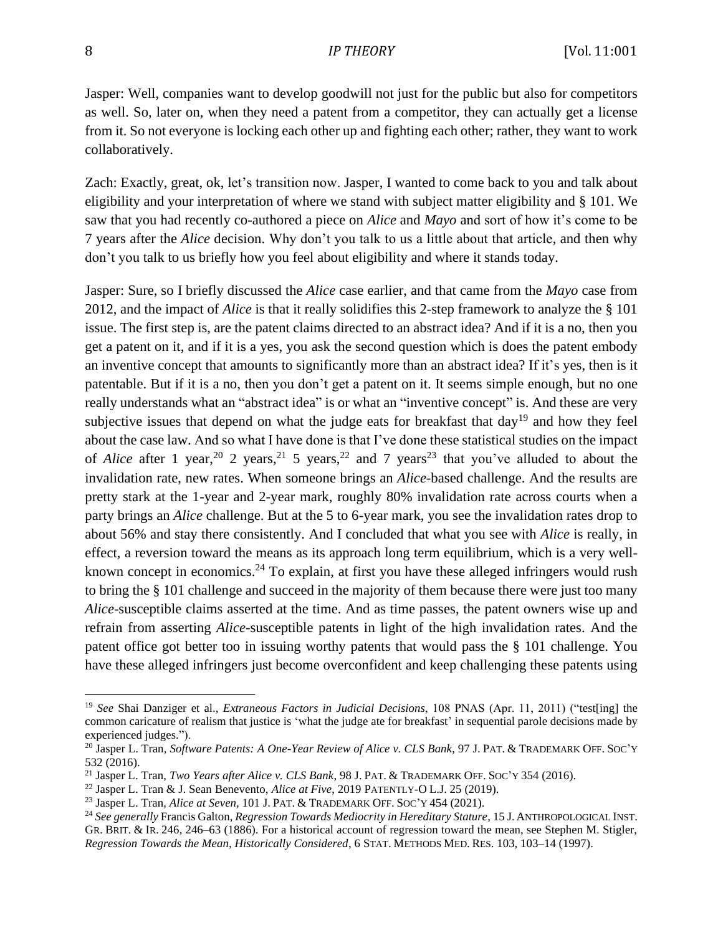Jasper: Well, companies want to develop goodwill not just for the public but also for competitors as well. So, later on, when they need a patent from a competitor, they can actually get a license from it. So not everyone is locking each other up and fighting each other; rather, they want to work collaboratively.

Zach: Exactly, great, ok, let's transition now. Jasper, I wanted to come back to you and talk about eligibility and your interpretation of where we stand with subject matter eligibility and § 101. We saw that you had recently co-authored a piece on *Alice* and *Mayo* and sort of how it's come to be 7 years after the *Alice* decision. Why don't you talk to us a little about that article, and then why don't you talk to us briefly how you feel about eligibility and where it stands today.

Jasper: Sure, so I briefly discussed the *Alice* case earlier, and that came from the *Mayo* case from 2012, and the impact of *Alice* is that it really solidifies this 2-step framework to analyze the § 101 issue. The first step is, are the patent claims directed to an abstract idea? And if it is a no, then you get a patent on it, and if it is a yes, you ask the second question which is does the patent embody an inventive concept that amounts to significantly more than an abstract idea? If it's yes, then is it patentable. But if it is a no, then you don't get a patent on it. It seems simple enough, but no one really understands what an "abstract idea" is or what an "inventive concept" is. And these are very subjective issues that depend on what the judge eats for breakfast that day<sup>19</sup> and how they feel about the case law. And so what I have done is that I've done these statistical studies on the impact of *Alice* after 1 year,<sup>20</sup> 2 years,<sup>21</sup> 5 years,<sup>22</sup> and 7 years<sup>23</sup> that you've alluded to about the invalidation rate, new rates. When someone brings an *Alice*-based challenge. And the results are pretty stark at the 1-year and 2-year mark, roughly 80% invalidation rate across courts when a party brings an *Alice* challenge. But at the 5 to 6-year mark, you see the invalidation rates drop to about 56% and stay there consistently. And I concluded that what you see with *Alice* is really, in effect, a reversion toward the means as its approach long term equilibrium, which is a very wellknown concept in economics.<sup>24</sup> To explain, at first you have these alleged infringers would rush to bring the § 101 challenge and succeed in the majority of them because there were just too many *Alice*-susceptible claims asserted at the time. And as time passes, the patent owners wise up and refrain from asserting *Alice*-susceptible patents in light of the high invalidation rates. And the patent office got better too in issuing worthy patents that would pass the § 101 challenge. You have these alleged infringers just become overconfident and keep challenging these patents using

<sup>19</sup> *See* Shai Danziger et al., *Extraneous Factors in Judicial Decisions*, 108 PNAS (Apr. 11, 2011) ("test[ing] the common caricature of realism that justice is 'what the judge ate for breakfast' in sequential parole decisions made by experienced judges.").

<sup>20</sup> Jasper L. Tran, *Software Patents: A One-Year Review of Alice v. CLS Bank*, 97 J. PAT. & TRADEMARK OFF. SOC'Y 532 (2016).

<sup>21</sup> Jasper L. Tran, *Two Years after Alice v. CLS Bank*, 98 J. PAT. & TRADEMARK OFF. SOC'Y 354 (2016).

<sup>22</sup> Jasper L. Tran & J. Sean Benevento, *Alice at Five*, 2019 PATENTLY-O L.J. 25 (2019).

<sup>23</sup> Jasper L. Tran, *Alice at Seven*, 101 J. PAT. & TRADEMARK OFF. SOC'Y 454 (2021).

<sup>24</sup> *See generally* Francis Galton, *Regression Towards Mediocrity in Hereditary Stature*, 15 J. ANTHROPOLOGICAL INST. GR. BRIT. & IR. 246, 246–63 (1886). For a historical account of regression toward the mean, see Stephen M. Stigler, *Regression Towards the Mean, Historically Considered*, 6 STAT. METHODS MED. RES. 103, 103–14 (1997).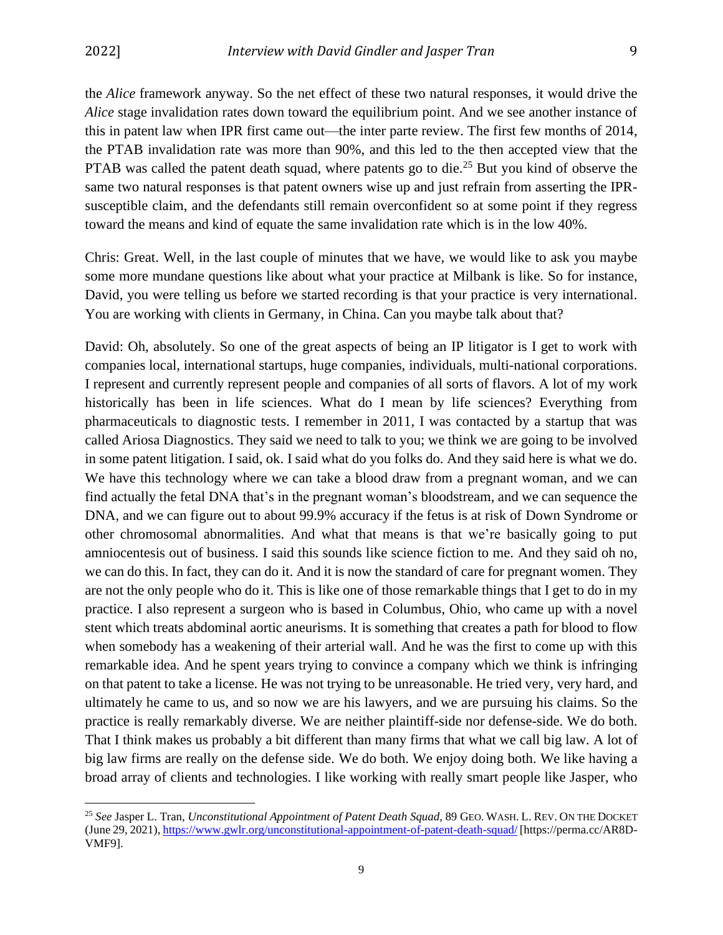the *Alice* framework anyway. So the net effect of these two natural responses, it would drive the *Alice* stage invalidation rates down toward the equilibrium point. And we see another instance of this in patent law when IPR first came out—the inter parte review. The first few months of 2014, the PTAB invalidation rate was more than 90%, and this led to the then accepted view that the PTAB was called the patent death squad, where patents go to die.<sup>25</sup> But you kind of observe the same two natural responses is that patent owners wise up and just refrain from asserting the IPRsusceptible claim, and the defendants still remain overconfident so at some point if they regress toward the means and kind of equate the same invalidation rate which is in the low 40%.

Chris: Great. Well, in the last couple of minutes that we have, we would like to ask you maybe some more mundane questions like about what your practice at Milbank is like. So for instance, David, you were telling us before we started recording is that your practice is very international. You are working with clients in Germany, in China. Can you maybe talk about that?

David: Oh, absolutely. So one of the great aspects of being an IP litigator is I get to work with companies local, international startups, huge companies, individuals, multi-national corporations. I represent and currently represent people and companies of all sorts of flavors. A lot of my work historically has been in life sciences. What do I mean by life sciences? Everything from pharmaceuticals to diagnostic tests. I remember in 2011, I was contacted by a startup that was called Ariosa Diagnostics. They said we need to talk to you; we think we are going to be involved in some patent litigation. I said, ok. I said what do you folks do. And they said here is what we do. We have this technology where we can take a blood draw from a pregnant woman, and we can find actually the fetal DNA that's in the pregnant woman's bloodstream, and we can sequence the DNA, and we can figure out to about 99.9% accuracy if the fetus is at risk of Down Syndrome or other chromosomal abnormalities. And what that means is that we're basically going to put amniocentesis out of business. I said this sounds like science fiction to me. And they said oh no, we can do this. In fact, they can do it. And it is now the standard of care for pregnant women. They are not the only people who do it. This is like one of those remarkable things that I get to do in my practice. I also represent a surgeon who is based in Columbus, Ohio, who came up with a novel stent which treats abdominal aortic aneurisms. It is something that creates a path for blood to flow when somebody has a weakening of their arterial wall. And he was the first to come up with this remarkable idea. And he spent years trying to convince a company which we think is infringing on that patent to take a license. He was not trying to be unreasonable. He tried very, very hard, and ultimately he came to us, and so now we are his lawyers, and we are pursuing his claims. So the practice is really remarkably diverse. We are neither plaintiff-side nor defense-side. We do both. That I think makes us probably a bit different than many firms that what we call big law. A lot of big law firms are really on the defense side. We do both. We enjoy doing both. We like having a broad array of clients and technologies. I like working with really smart people like Jasper, who

<sup>25</sup> *See* Jasper L. Tran, *Unconstitutional Appointment of Patent Death Squad*, 89 GEO. WASH. L. REV. ON THE DOCKET (June 29, 2021),<https://www.gwlr.org/unconstitutional-appointment-of-patent-death-squad/> [https://perma.cc/AR8D-VMF9].